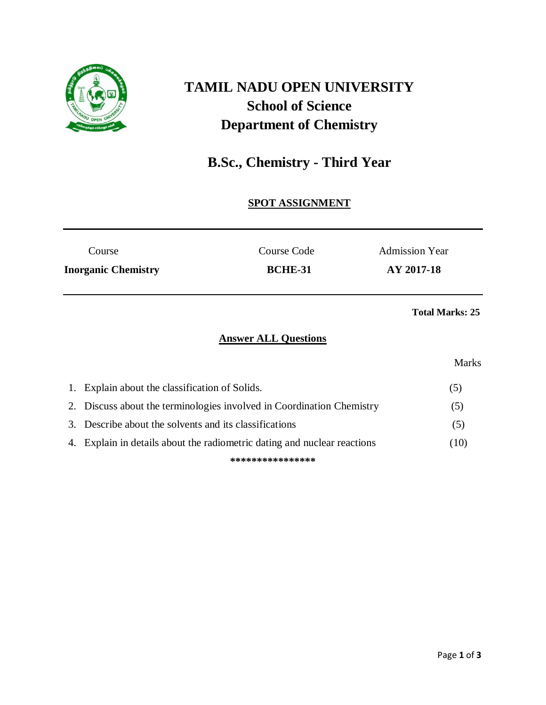

# **TAMIL NADU OPEN UNIVERSITY School of Science Department of Chemistry**

## **B.Sc., Chemistry - Third Year**

### **SPOT ASSIGNMENT**

| Course                     | Course Code    | <b>Admission Year</b> |
|----------------------------|----------------|-----------------------|
| <b>Inorganic Chemistry</b> | <b>BCHE-31</b> | AY 2017-18            |

#### **Total Marks: 25**

#### **Answer ALL Questions**

#### Marks

| 1. Explain about the classification of Solids.                           | (5)  |
|--------------------------------------------------------------------------|------|
| 2. Discuss about the terminologies involved in Coordination Chemistry    | (5)  |
| 3. Describe about the solvents and its classifications                   | (5)  |
| 4. Explain in details about the radiometric dating and nuclear reactions | (10) |
| ****************                                                         |      |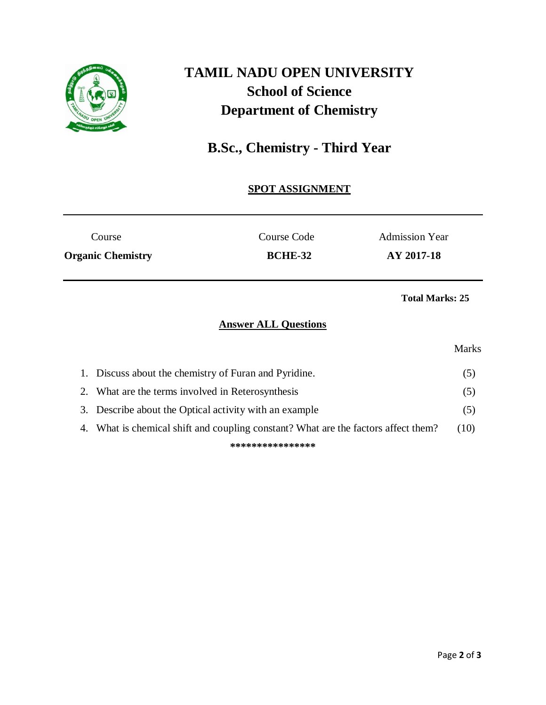

# **TAMIL NADU OPEN UNIVERSITY School of Science Department of Chemistry**

## **B.Sc., Chemistry - Third Year**

### **SPOT ASSIGNMENT**

| Course                   | Course Code    | <b>Admission Year</b> |
|--------------------------|----------------|-----------------------|
| <b>Organic Chemistry</b> | <b>BCHE-32</b> | AY 2017-18            |
|                          |                |                       |

**Total Marks: 25**

## **Answer ALL Questions**

#### Marks

|                  | 1. Discuss about the chemistry of Furan and Pyridine.                              | O)   |
|------------------|------------------------------------------------------------------------------------|------|
|                  | 2. What are the terms involved in Reterosynthesis                                  | (5)  |
|                  | 3. Describe about the Optical activity with an example                             | (5)  |
|                  | 4. What is chemical shift and coupling constant? What are the factors affect them? | (10) |
| **************** |                                                                                    |      |